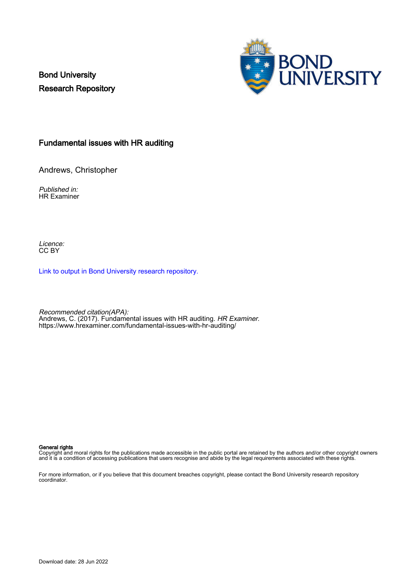Bond University Research Repository



# Fundamental issues with HR auditing

Andrews, Christopher

Published in: HR Examiner

Licence: CC BY

[Link to output in Bond University research repository.](https://research.bond.edu.au/en/publications/f2e7e2b7-9a98-49db-a05a-48c6ff735519)

Recommended citation(APA): Andrews, C. (2017). Fundamental issues with HR auditing. HR Examiner. <https://www.hrexaminer.com/fundamental-issues-with-hr-auditing/>

#### General rights

Copyright and moral rights for the publications made accessible in the public portal are retained by the authors and/or other copyright owners and it is a condition of accessing publications that users recognise and abide by the legal requirements associated with these rights.

For more information, or if you believe that this document breaches copyright, please contact the Bond University research repository coordinator.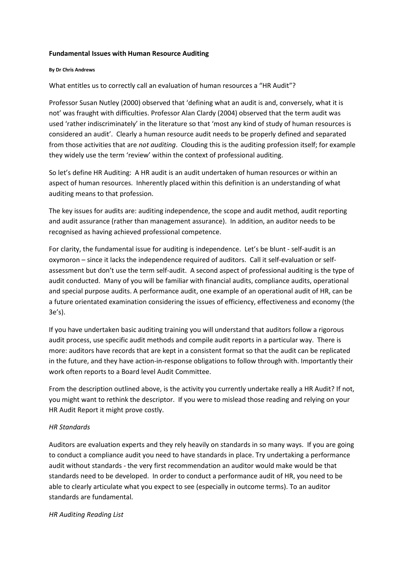#### **Fundamental Issues with Human Resource Auditing**

#### **By Dr Chris Andrews**

What entitles us to correctly call an evaluation of human resources a "HR Audit"?

Professor Susan Nutley (2000) observed that 'defining what an audit is and, conversely, what it is not' was fraught with difficulties. Professor Alan Clardy (2004) observed that the term audit was used 'rather indiscriminately' in the literature so that 'most any kind of study of human resources is considered an audit'. Clearly a human resource audit needs to be properly defined and separated from those activities that are *not auditing*. Clouding this is the auditing profession itself; for example they widely use the term 'review' within the context of professional auditing.

So let's define HR Auditing: A HR audit is an audit undertaken of human resources or within an aspect of human resources. Inherently placed within this definition is an understanding of what auditing means to that profession.

The key issues for audits are: auditing independence, the scope and audit method, audit reporting and audit assurance (rather than management assurance). In addition, an auditor needs to be recognised as having achieved professional competence.

For clarity, the fundamental issue for auditing is independence. Let's be blunt - self-audit is an oxymoron – since it lacks the independence required of auditors. Call it self-evaluation or selfassessment but don't use the term self-audit. A second aspect of professional auditing is the type of audit conducted. Many of you will be familiar with financial audits, compliance audits, operational and special purpose audits. A performance audit, one example of an operational audit of HR, can be a future orientated examination considering the issues of efficiency, effectiveness and economy (the 3e's).

If you have undertaken basic auditing training you will understand that auditors follow a rigorous audit process, use specific audit methods and compile audit reports in a particular way. There is more: auditors have records that are kept in a consistent format so that the audit can be replicated in the future, and they have action-in-response obligations to follow through with. Importantly their work often reports to a Board level Audit Committee.

From the description outlined above, is the activity you currently undertake really a HR Audit? If not, you might want to rethink the descriptor. If you were to mislead those reading and relying on your HR Audit Report it might prove costly.

### *HR Standards*

Auditors are evaluation experts and they rely heavily on standards in so many ways. If you are going to conduct a compliance audit you need to have standards in place. Try undertaking a performance audit without standards - the very first recommendation an auditor would make would be that standards need to be developed. In order to conduct a performance audit of HR, you need to be able to clearly articulate what you expect to see (especially in outcome terms). To an auditor standards are fundamental.

### *HR Auditing Reading List*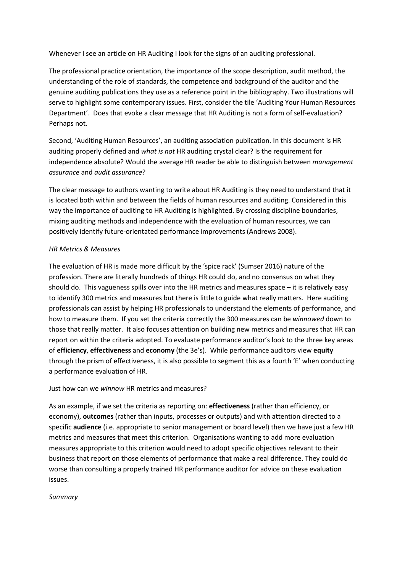Whenever I see an article on HR Auditing I look for the signs of an auditing professional.

The professional practice orientation, the importance of the scope description, audit method, the understanding of the role of standards, the competence and background of the auditor and the genuine auditing publications they use as a reference point in the bibliography. Two illustrations will serve to highlight some contemporary issues. First, consider the tile 'Auditing Your Human Resources Department'. Does that evoke a clear message that HR Auditing is not a form of self-evaluation? Perhaps not.

Second, 'Auditing Human Resources', an auditing association publication. In this document is HR auditing properly defined and *what is not* HR auditing crystal clear? Is the requirement for independence absolute? Would the average HR reader be able to distinguish between *management assurance* and *audit assurance*?

The clear message to authors wanting to write about HR Auditing is they need to understand that it is located both within and between the fields of human resources and auditing. Considered in this way the importance of auditing to HR Auditing is highlighted. By crossing discipline boundaries, mixing auditing methods and independence with the evaluation of human resources, we can positively identify future-orientated performance improvements (Andrews 2008).

## *HR Metrics & Measures*

The evaluation of HR is made more difficult by the 'spice rack' (Sumser 2016) nature of the profession. There are literally hundreds of things HR could do, and no consensus on what they should do. This vagueness spills over into the HR metrics and measures space – it is relatively easy to identify 300 metrics and measures but there is little to guide what really matters. Here auditing professionals can assist by helping HR professionals to understand the elements of performance, and how to measure them. If you set the criteria correctly the 300 measures can be *winnowed* down to those that really matter. It also focuses attention on building new metrics and measures that HR can report on within the criteria adopted. To evaluate performance auditor's look to the three key areas of **efficiency**, **effectiveness** and **economy** (the 3e's). While performance auditors view **equity** through the prism of effectiveness, it is also possible to segment this as a fourth 'E' when conducting a performance evaluation of HR.

Just how can we *winnow* HR metrics and measures?

As an example, if we set the criteria as reporting on: **effectiveness** (rather than efficiency, or economy), **outcomes** (rather than inputs, processes or outputs) and with attention directed to a specific **audience** (i.e. appropriate to senior management or board level) then we have just a few HR metrics and measures that meet this criterion. Organisations wanting to add more evaluation measures appropriate to this criterion would need to adopt specific objectives relevant to their business that report on those elements of performance that make a real difference. They could do worse than consulting a properly trained HR performance auditor for advice on these evaluation issues.

### *Summary*